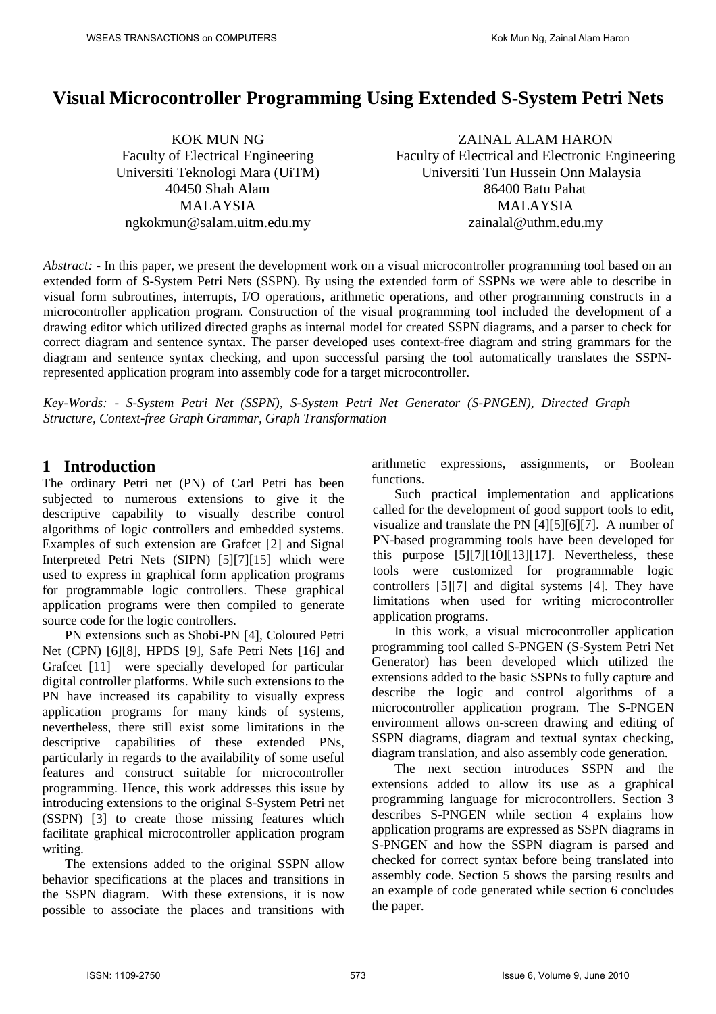# **Visual Microcontroller Programming Using Extended S-System Petri Nets**

KOK MUN NG Faculty of Electrical Engineering Universiti Teknologi Mara (UiTM) 40450 Shah Alam MALAYSIA ngkokmun@salam.uitm.edu.my

ZAINAL ALAM HARON Faculty of Electrical and Electronic Engineering Universiti Tun Hussein Onn Malaysia 86400 Batu Pahat MALAYSIA zainalal@uthm.edu.my

*Abstract:* - In this paper, we present the development work on a visual microcontroller programming tool based on an extended form of S-System Petri Nets (SSPN). By using the extended form of SSPNs we were able to describe in visual form subroutines, interrupts, I/O operations, arithmetic operations, and other programming constructs in a microcontroller application program. Construction of the visual programming tool included the development of a drawing editor which utilized directed graphs as internal model for created SSPN diagrams, and a parser to check for correct diagram and sentence syntax. The parser developed uses context-free diagram and string grammars for the diagram and sentence syntax checking, and upon successful parsing the tool automatically translates the SSPNrepresented application program into assembly code for a target microcontroller.

*Key-Words: - S-System Petri Net (SSPN)*, *S-System Petri Net Generator (S-PNGEN)*, *Directed Graph Structure, Context-free Graph Grammar, Graph Transformation*

# **1 Introduction**

The ordinary Petri net (PN) of Carl Petri has been subjected to numerous extensions to give it the descriptive capability to visually describe control algorithms of logic controllers and embedded systems. Examples of such extension are Grafcet [2] and Signal Interpreted Petri Nets (SIPN) [5][7][15] which were used to express in graphical form application programs for programmable logic controllers. These graphical application programs were then compiled to generate source code for the logic controllers.

PN extensions such as Shobi-PN [4], Coloured Petri Net (CPN) [6][8], HPDS [9], Safe Petri Nets [16] and Grafcet [11] were specially developed for particular digital controller platforms. While such extensions to the PN have increased its capability to visually express application programs for many kinds of systems, nevertheless, there still exist some limitations in the descriptive capabilities of these extended PNs, particularly in regards to the availability of some useful features and construct suitable for microcontroller programming. Hence, this work addresses this issue by introducing extensions to the original S-System Petri net (SSPN) [3] to create those missing features which facilitate graphical microcontroller application program writing.

The extensions added to the original SSPN allow behavior specifications at the places and transitions in the SSPN diagram. With these extensions, it is now possible to associate the places and transitions with

arithmetic expressions, assignments, or Boolean functions.

Such practical implementation and applications called for the development of good support tools to edit, visualize and translate the PN [4][5][6][7]. A number of PN-based programming tools have been developed for this purpose  $[5][7][10][13][17]$ . Nevertheless, these tools were customized for programmable logic controllers [5][7] and digital systems [4]. They have limitations when used for writing microcontroller application programs.

In this work, a visual microcontroller application programming tool called S-PNGEN (S-System Petri Net Generator) has been developed which utilized the extensions added to the basic SSPNs to fully capture and describe the logic and control algorithms of a microcontroller application program. The S-PNGEN environment allows on-screen drawing and editing of SSPN diagrams, diagram and textual syntax checking, diagram translation, and also assembly code generation.

The next section introduces SSPN and the extensions added to allow its use as a graphical programming language for microcontrollers. Section 3 describes S-PNGEN while section 4 explains how application programs are expressed as SSPN diagrams in S-PNGEN and how the SSPN diagram is parsed and checked for correct syntax before being translated into assembly code. Section 5 shows the parsing results and an example of code generated while section 6 concludes the paper.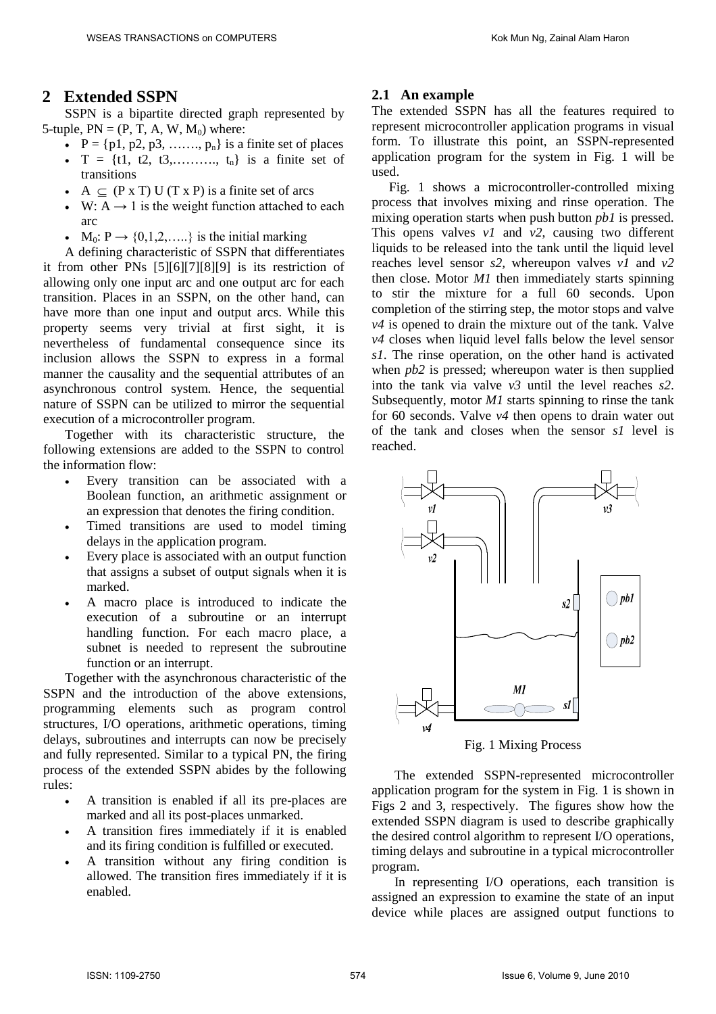# **2 Extended SSPN**

SSPN is a bipartite directed graph represented by 5-tuple,  $PN = (P, T, A, W, M_0)$  where:

- $\bullet$  P = {p1, p2, p3, ......, p<sub>n</sub>} is a finite set of places
- $T = \{t1, t2, t3, \ldots, t_n\}$  is a finite set of transitions
- $\bullet$  A  $\subseteq$  (P x T) U (T x P) is a finite set of arcs
- W:  $A \rightarrow 1$  is the weight function attached to each arc
- $M_0: P \rightarrow \{0,1,2,\ldots\}$  is the initial marking

A defining characteristic of SSPN that differentiates it from other PNs [5][6][7][8][9] is its restriction of allowing only one input arc and one output arc for each transition. Places in an SSPN, on the other hand, can have more than one input and output arcs. While this property seems very trivial at first sight, it is nevertheless of fundamental consequence since its inclusion allows the SSPN to express in a formal manner the causality and the sequential attributes of an asynchronous control system. Hence, the sequential nature of SSPN can be utilized to mirror the sequential execution of a microcontroller program.

Together with its characteristic structure, the following extensions are added to the SSPN to control the information flow:

- Every transition can be associated with a Boolean function, an arithmetic assignment or an expression that denotes the firing condition.
- Timed transitions are used to model timing delays in the application program.
- Every place is associated with an output function that assigns a subset of output signals when it is marked.
- A macro place is introduced to indicate the execution of a subroutine or an interrupt handling function. For each macro place, a subnet is needed to represent the subroutine function or an interrupt.

Together with the asynchronous characteristic of the SSPN and the introduction of the above extensions, programming elements such as program control structures, I/O operations, arithmetic operations, timing delays, subroutines and interrupts can now be precisely and fully represented. Similar to a typical PN, the firing process of the extended SSPN abides by the following rules:

- A transition is enabled if all its pre-places are marked and all its post-places unmarked.
- A transition fires immediately if it is enabled and its firing condition is fulfilled or executed.
- A transition without any firing condition is allowed. The transition fires immediately if it is enabled.

# **2.1 An example**

The extended SSPN has all the features required to represent microcontroller application programs in visual form. To illustrate this point, an SSPN-represented application program for the system in Fig.  $\overline{1}$  will be used.

Fig. 1 shows a microcontroller-controlled mixing process that involves mixing and rinse operation. The mixing operation starts when push button *pb1* is pressed. This opens valves *v1* and *v2*, causing two different liquids to be released into the tank until the liquid level reaches level sensor *s2,* whereupon valves *v1* and *v2* then close. Motor *M1* then immediately starts spinning to stir the mixture for a full 60 seconds. Upon completion of the stirring step, the motor stops and valve *v4* is opened to drain the mixture out of the tank. Valve *v4* closes when liquid level falls below the level sensor *s1*. The rinse operation, on the other hand is activated when *pb2* is pressed; whereupon water is then supplied into the tank via valve *v3* until the level reaches *s2*. Subsequently, motor *M1* starts spinning to rinse the tank for 60 seconds. Valve *v4* then opens to drain water out of the tank and closes when the sensor *s1* level is reached.



Fig. 1 Mixing Process

The extended SSPN-represented microcontroller application program for the system in Fig. 1 is shown in Figs 2 and 3, respectively. The figures show how the extended SSPN diagram is used to describe graphically the desired control algorithm to represent I/O operations, timing delays and subroutine in a typical microcontroller program.

In representing I/O operations, each transition is assigned an expression to examine the state of an input device while places are assigned output functions to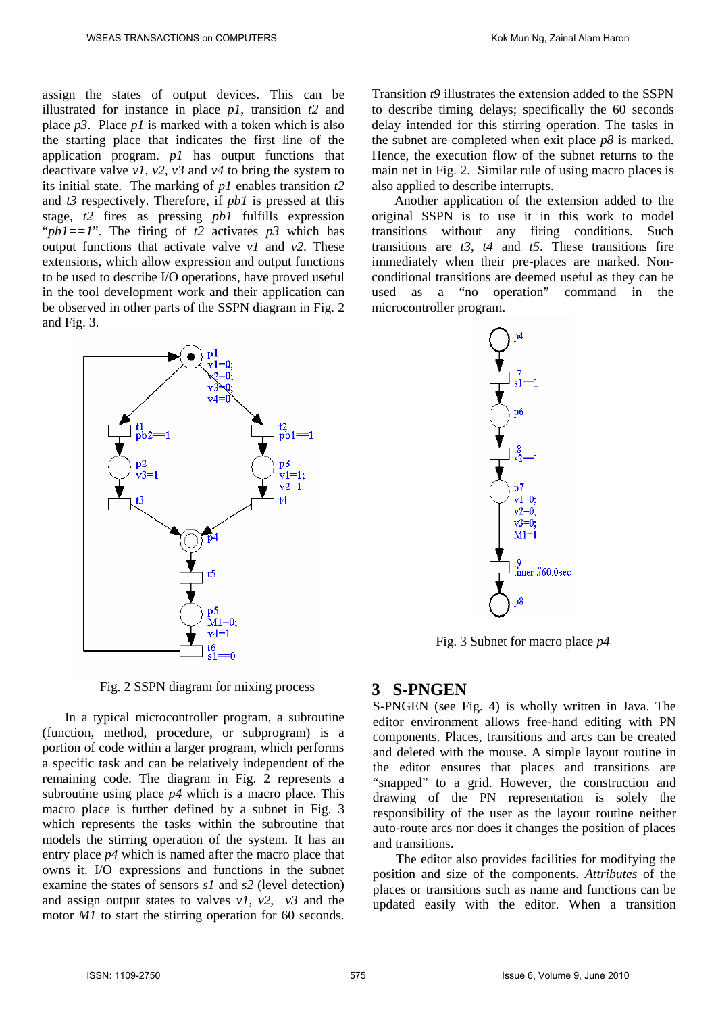assign the states of output devices. This can be illustrated for instance in place *p1*, transition *t2* and place *p3*. Place *p1* is marked with a token which is also the starting place that indicates the first line of the application program. *p1* has output functions that deactivate valve *v1*, *v2*, *v3* and *v4* to bring the system to its initial state. The marking of *p1* enables transition *t2* and *t3* respectively. Therefore, if *pb1* is pressed at this stage, *t2* fires as pressing *pb1* fulfills expression "*pb1==1*". The firing of *t2* activates *p3* which has output functions that activate valve *v1* and *v2*. These extensions, which allow expression and output functions to be used to describe I/O operations, have proved useful in the tool development work and their application can be observed in other parts of the SSPN diagram in Fig. 2 and Fig. 3.



Fig. 2 SSPN diagram for mixing process

In a typical microcontroller program, a subroutine (function, method, procedure, or subprogram) is a portion of code within a larger program, which performs a specific task and can be relatively independent of the remaining code. The diagram in Fig. 2 represents a subroutine using place *p4* which is a macro place. This macro place is further defined by a subnet in Fig. 3 which represents the tasks within the subroutine that models the stirring operation of the system. It has an entry place *p4* which is named after the macro place that owns it. I/O expressions and functions in the subnet examine the states of sensors *s1* and *s2* (level detection) and assign output states to valves *v1*, *v2, v3* and the motor *M1* to start the stirring operation for 60 seconds.

Transition *t9* illustrates the extension added to the SSPN to describe timing delays; specifically the 60 seconds delay intended for this stirring operation. The tasks in the subnet are completed when exit place *p8* is marked. Hence, the execution flow of the subnet returns to the main net in Fig. 2. Similar rule of using macro places is also applied to describe interrupts.

Another application of the extension added to the original SSPN is to use it in this work to model transitions without any firing conditions. Such transitions are *t3*, *t4* and *t5*. These transitions fire immediately when their pre-places are marked. Nonconditional transitions are deemed useful as they can be used as a "no operation" command in the microcontroller program.



Fig. 3 Subnet for macro place *p4*

# **3 S-PNGEN**

S-PNGEN (see Fig. 4) is wholly written in Java. The editor environment allows free-hand editing with PN components. Places, transitions and arcs can be created and deleted with the mouse. A simple layout routine in the editor ensures that places and transitions are "snapped" to a grid. However, the construction and drawing of the PN representation is solely the responsibility of the user as the layout routine neither auto-route arcs nor does it changes the position of places and transitions.

The editor also provides facilities for modifying the position and size of the components. *Attributes* of the places or transitions such as name and functions can be updated easily with the editor. When a transition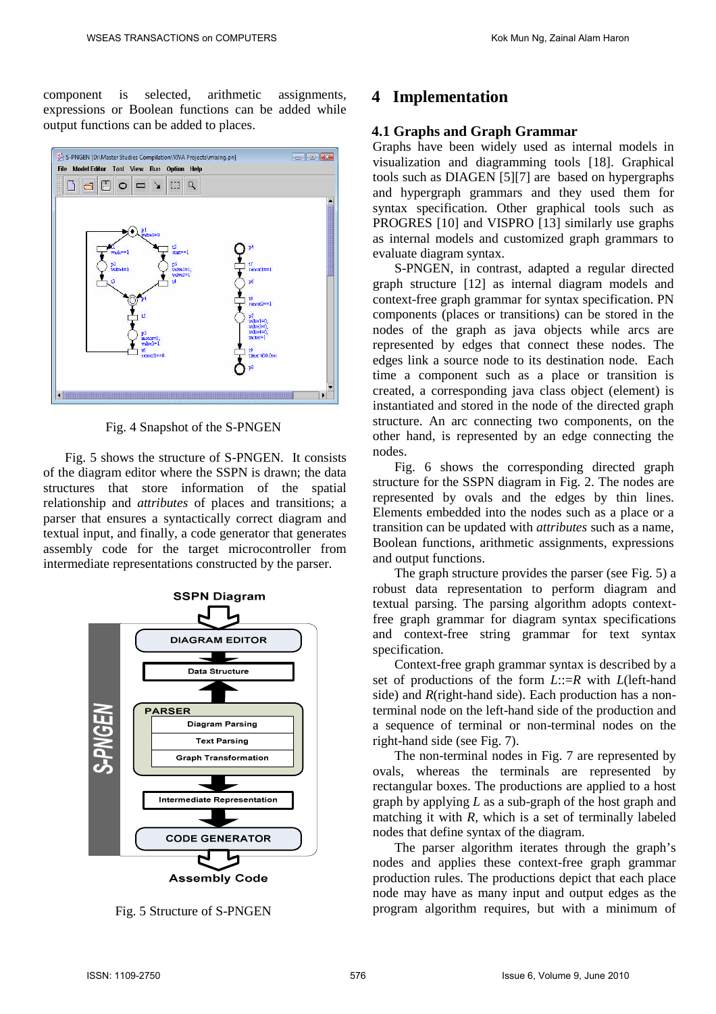component is selected, arithmetic assignments, expressions or Boolean functions can be added while output functions can be added to places.



Fig. 4 Snapshot of the S-PNGEN

Fig. 5 shows the structure of S-PNGEN. It consists of the diagram editor where the SSPN is drawn; the data structures that store information of the spatial relationship and *attributes* of places and transitions; a parser that ensures a syntactically correct diagram and textual input, and finally, a code generator that generates assembly code for the target microcontroller from intermediate representations constructed by the parser.



Fig. 5 Structure of S-PNGEN

# **4 Implementation**

## **4.1 Graphs and Graph Grammar**

Graphs have been widely used as internal models in visualization and diagramming tools [18]. Graphical tools such as DIAGEN [5][7] are based on hypergraphs and hypergraph grammars and they used them for syntax specification. Other graphical tools such as PROGRES [10] and VISPRO [13] similarly use graphs as internal models and customized graph grammars to evaluate diagram syntax.

S-PNGEN, in contrast, adapted a regular directed graph structure [12] as internal diagram models and context-free graph grammar for syntax specification. PN components (places or transitions) can be stored in the nodes of the graph as java objects while arcs are represented by edges that connect these nodes. The edges link a source node to its destination node. Each time a component such as a place or transition is created, a corresponding java class object (element) is instantiated and stored in the node of the directed graph structure. An arc connecting two components, on the other hand, is represented by an edge connecting the nodes.

Fig. 6 shows the corresponding directed graph structure for the SSPN diagram in Fig. 2. The nodes are represented by ovals and the edges by thin lines. Elements embedded into the nodes such as a place or a transition can be updated with *attributes* such as a name, Boolean functions, arithmetic assignments, expressions and output functions.

The graph structure provides the parser (see Fig. 5) a robust data representation to perform diagram and textual parsing. The parsing algorithm adopts contextfree graph grammar for diagram syntax specifications and context-free string grammar for text syntax specification.

Context-free graph grammar syntax is described by a set of productions of the form *L*::=*R* with *L*(left-hand side) and *R*(right-hand side). Each production has a nonterminal node on the left-hand side of the production and a sequence of terminal or non-terminal nodes on the right-hand side (see Fig. 7).

The non-terminal nodes in Fig. 7 are represented by ovals, whereas the terminals are represented by rectangular boxes. The productions are applied to a host graph by applying *L* as a sub-graph of the host graph and matching it with *R,* which is a set of terminally labeled nodes that define syntax of the diagram.

The parser algorithm iterates through the graph's nodes and applies these context-free graph grammar production rules. The productions depict that each place node may have as many input and output edges as the program algorithm requires, but with a minimum of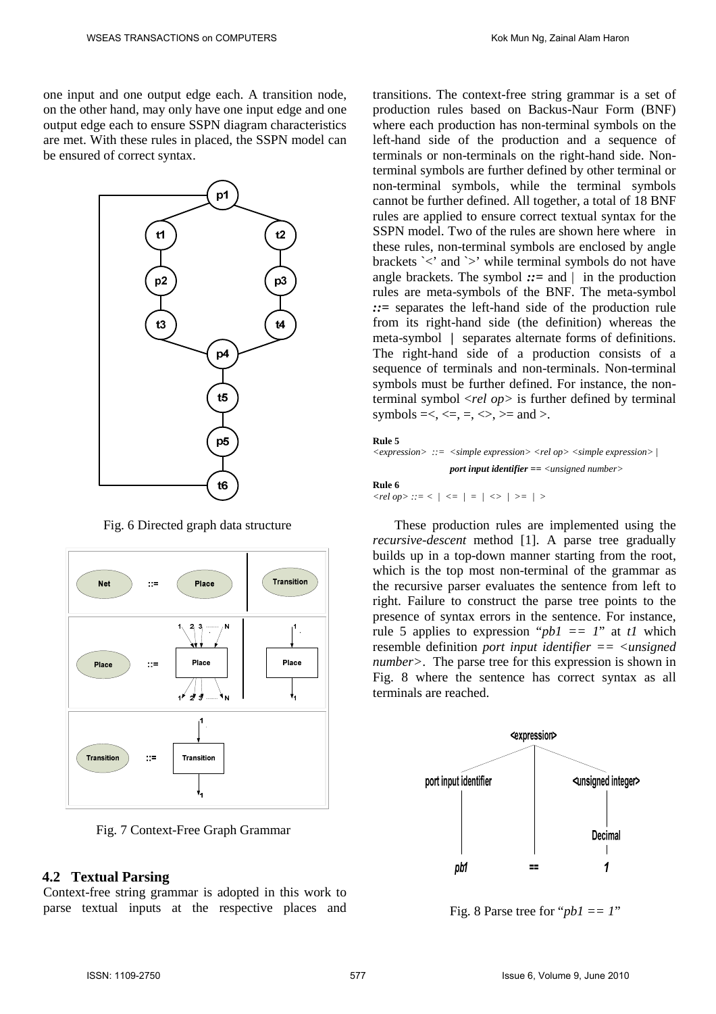one input and one output edge each. A transition node, on the other hand, may only have one input edge and one output edge each to ensure SSPN diagram characteristics are met. With these rules in placed, the SSPN model can be ensured of correct syntax.



Fig. 6 Directed graph data structure



Fig. 7 Context-Free Graph Grammar

### **4.2 Textual Parsing**

Context-free string grammar is adopted in this work to parse textual inputs at the respective places and transitions. The context-free string grammar is a set of production rules based on Backus-Naur Form (BNF) where each production has non-terminal symbols on the left-hand side of the production and a sequence of terminals or non-terminals on the right-hand side. Nonterminal symbols are further defined by other terminal or non-terminal symbols, while the terminal symbols cannot be further defined. All together, a total of 18 BNF rules are applied to ensure correct textual syntax for the SSPN model. Two of the rules are shown here where in these rules, non-terminal symbols are enclosed by angle brackets `<' and `>' while terminal symbols do not have angle brackets. The symbol *::=* and | in the production rules are meta-symbols of the BNF. The meta-symbol *::=* separates the left-hand side of the production rule from its right-hand side (the definition) whereas the meta-symbol **|** separates alternate forms of definitions. The right-hand side of a production consists of a sequence of terminals and non-terminals. Non-terminal symbols must be further defined. For instance, the nonterminal symbol <*rel op>* is further defined by terminal symbols  $=<, \leq, =, \leq, \geq)$  and  $>$ .

#### **Rule 5**

```
<expression> ::= <simple expression> <rel op> <simple expression> |
                  port input identifier == <unsigned number>
```
**Rule 6**

 $\langle$ rel op $\rangle$  ::=  $\langle$   $|$   $\rangle$   $\langle$  =  $|$  =  $|$   $\rangle$   $\rangle$   $\rangle$   $\langle$   $\rangle$  =  $|$   $\rangle$ 

These production rules are implemented using the *recursive-descent* method [1]. A parse tree gradually builds up in a top-down manner starting from the root, which is the top most non-terminal of the grammar as the recursive parser evaluates the sentence from left to right. Failure to construct the parse tree points to the presence of syntax errors in the sentence. For instance, rule 5 applies to expression " $pbl == l$ " at *t1* which resemble definition *port input identifier == <unsigned number>*. The parse tree for this expression is shown in Fig. 8 where the sentence has correct syntax as all terminals are reached.



Fig. 8 Parse tree for "*pb1 == 1*"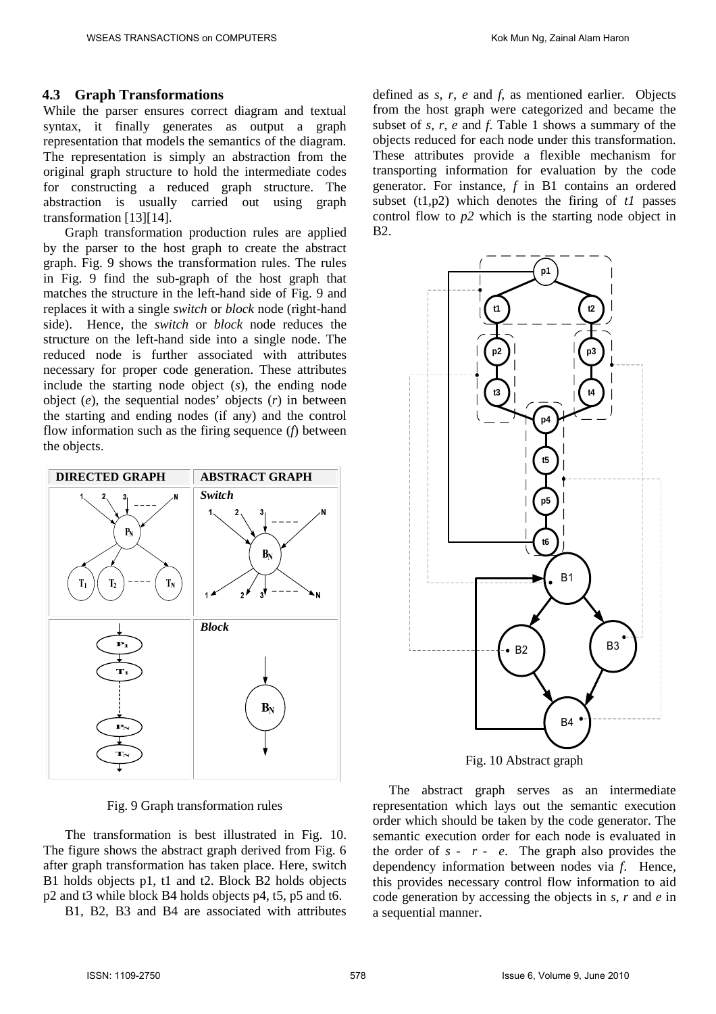### **4.3 Graph Transformations**

While the parser ensures correct diagram and textual syntax, it finally generates as output a graph representation that models the semantics of the diagram. The representation is simply an abstraction from the original graph structure to hold the intermediate codes for constructing a reduced graph structure. The abstraction is usually carried out using graph transformation [13][14].

Graph transformation production rules are applied by the parser to the host graph to create the abstract graph. Fig. 9 shows the transformation rules. The rules in Fig. 9 find the sub-graph of the host graph that matches the structure in the left-hand side of Fig. 9 and replaces it with a single *switch* or *block* node (right-hand side). Hence, the *switch* or *block* node reduces the structure on the left-hand side into a single node. The reduced node is further associated with attributes necessary for proper code generation. These attributes include the starting node object (*s*), the ending node object (*e*), the sequential nodes' objects (*r*) in between the starting and ending nodes (if any) and the control flow information such as the firing sequence (*f*) between the objects.



Fig. 9 Graph transformation rules

The transformation is best illustrated in Fig. 10. The figure shows the abstract graph derived from Fig. 6 after graph transformation has taken place. Here, switch B1 holds objects p1, t1 and t2. Block B2 holds objects p2 and t3 while block B4 holds objects p4, t5, p5 and t6.

B1, B2, B3 and B4 are associated with attributes

defined as *s, r*, *e* and *f*, as mentioned earlier. Objects from the host graph were categorized and became the subset of *s, r*, *e* and *f*. Table 1 shows a summary of the objects reduced for each node under this transformation. These attributes provide a flexible mechanism for transporting information for evaluation by the code generator. For instance, *f* in B1 contains an ordered subset (t1,p2) which denotes the firing of *t1* passes control flow to *p2* which is the starting node object in B2.



The abstract graph serves as an intermediate representation which lays out the semantic execution order which should be taken by the code generator. The semantic execution order for each node is evaluated in the order of  $s - r - e$ . The graph also provides the dependency information between nodes via *f*. Hence, this provides necessary control flow information to aid code generation by accessing the objects in *s*, *r* and *e* in a sequential manner.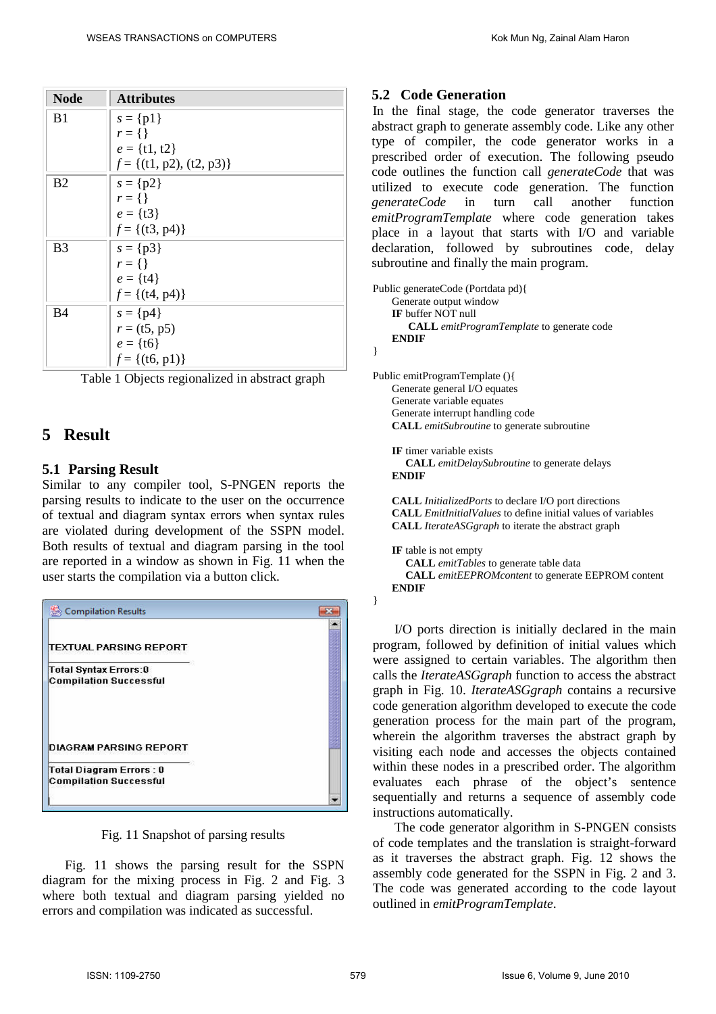| <b>Node</b>           | <b>Attributes</b>             |
|-----------------------|-------------------------------|
| B <sub>1</sub>        | $s = \{p1\}$                  |
|                       | $r = \{\}\$                   |
|                       | $e = \{t1, t2\}$              |
|                       | $f = \{(t1, p2), (t2, p3)\}\$ |
| B <sub>2</sub>        | $s = \{p2\}$                  |
|                       | $r = \{\}\$                   |
|                       | $e = \{t3\}$                  |
|                       | $f = \{(t3, p4)\}\$           |
| <b>B</b> <sub>3</sub> | $s = \{p3\}$                  |
|                       | $r = \{\}\$                   |
|                       | $e = \{t4\}$                  |
|                       | $f = \{(t4, p4)\}\$           |
| <b>B4</b>             | $s = \{p4\}$                  |
|                       | $r = (t5, p5)$                |
|                       | $e = \{ \text{t6} \}$         |
|                       | $f = \{(t6, p1)\}\$           |

|  | Table 1 Objects regionalized in abstract graph |  |  |
|--|------------------------------------------------|--|--|
|  |                                                |  |  |

# **5 Result**

## **5.1 Parsing Result**

Similar to any compiler tool, S-PNGEN reports the parsing results to indicate to the user on the occurrence of textual and diagram syntax errors when syntax rules are violated during development of the SSPN model. Both results of textual and diagram parsing in the tool are reported in a window as shown in Fig. 11 when the user starts the compilation via a button click.



Fig. 11 Snapshot of parsing results

Fig. 11 shows the parsing result for the SSPN diagram for the mixing process in Fig. 2 and Fig. 3 where both textual and diagram parsing yielded no errors and compilation was indicated as successful.

# **5.2 Code Generation**

In the final stage, the code generator traverses the abstract graph to generate assembly code. Like any other type of compiler, the code generator works in a prescribed order of execution. The following pseudo code outlines the function call *generateCode* that was utilized to execute code generation. The function *generateCode* in turn call another function *emitProgramTemplate* where code generation takes place in a layout that starts with I/O and variable declaration, followed by subroutines code, delay subroutine and finally the main program.

```
Public generateCode (Portdata pd){
    Generate output window
    IF buffer NOT null
       CALL emitProgramTemplate to generate code
    ENDIF
}
Public emitProgramTemplate (){
```
Generate general I/O equates Generate variable equates Generate interrupt handling code **CALL** *emitSubroutine* to generate subroutine

**IF** timer variable exists **CALL** *emitDelaySubroutine* to generate delays **ENDIF**

**CALL** *InitializedPorts* to declare I/O port directions **CALL** *EmitInitialValues* to define initial values of variables **CALL** *IterateASGgraph* to iterate the abstract graph

**IF** table is not empty **CALL** *emitTables* to generate table data **CALL** *emitEEPROMcontent* to generate EEPROM content **ENDIF**

I/O ports direction is initially declared in the main program, followed by definition of initial values which were assigned to certain variables. The algorithm then calls the *IterateASGgraph* function to access the abstract graph in Fig. 10. *IterateASGgraph* contains a recursive code generation algorithm developed to execute the code generation process for the main part of the program, wherein the algorithm traverses the abstract graph by visiting each node and accesses the objects contained within these nodes in a prescribed order. The algorithm evaluates each phrase of the object's sentence sequentially and returns a sequence of assembly code instructions automatically.

The code generator algorithm in S-PNGEN consists of code templates and the translation is straight-forward as it traverses the abstract graph. Fig. 12 shows the assembly code generated for the SSPN in Fig. 2 and 3. The code was generated according to the code layout outlined in *emitProgramTemplate*.

}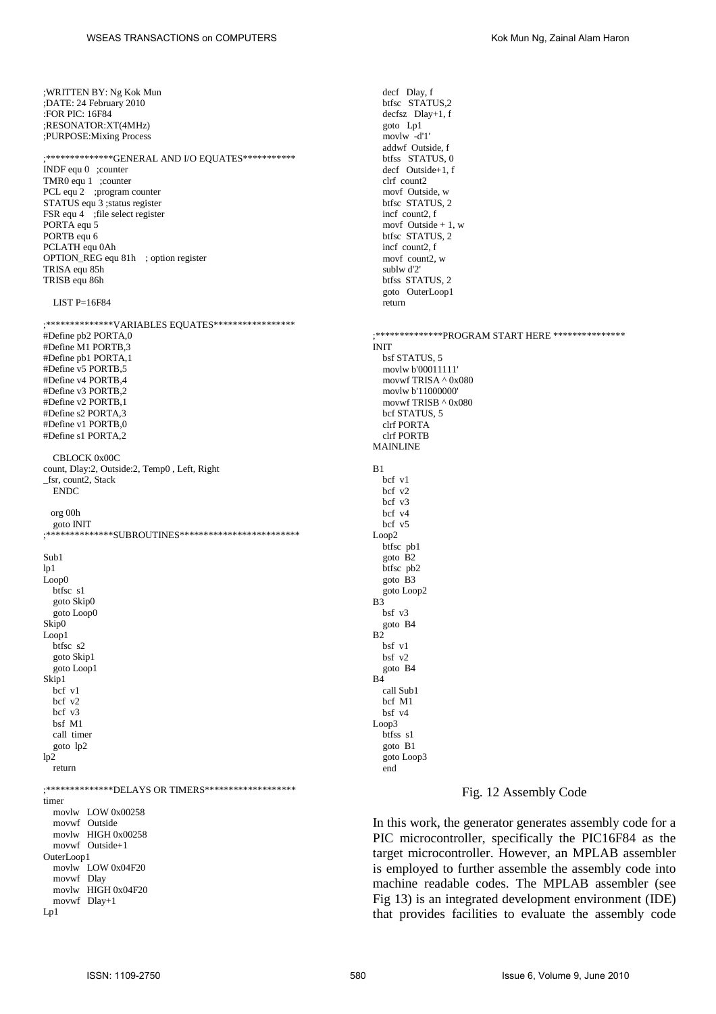;\*\*\*\*\*\*\*\*\*\*\*\*\*\*GENERAL AND I/O EQUATES\*\*\*\*\*\*\*\*\*\*\* INDF equ 0 ;counter TMR0 equ 1 ;counter PCL equ<sup>2</sup> ;program counter STATUS equ 3 ;status register FSR equ 4 ;file select register PORTA equ 5 PORTB equ 6

PCLATH equ 0Ah OPTION\_REG equ 81h ; option register TRISA equ 85h TRISB equ 86h

#### LIST  $P=16F84$

;\*\*\*\*\*\*\*\*\*\*\*\*\*\*VARIABLES EQUATES\*\*\*\*\*\*\*\*\*\*\*\*\*\*\*\*\* #Define pb2 PORTA,0 #Define M1 PORTB,3 #Define pb1 PORTA,1 #Define v5 PORTB,5 #Define v4 PORTB,4 #Define v3 PORTB,2 #Define v2 PORTB,1 #Define s2 PORTA,3 #Define v1 PORTB,0 #Define s1 PORTA,2 CBLOCK 0x00C count, Dlay:2, Outside:2, Temp0 , Left, Right \_fsr, count2, Stack ENDC org 00h goto INIT ;\*\*\*\*\*\*\*\*\*\*\*\*\*\*SUBROUTINES\*\*\*\*\*\*\*\*\*\*\*\*\*\*\*\*\*\*\*\*\*\*\*\*\* Sub1  $ln<sub>1</sub>$ Loop0 btfsc s1 goto Skip0 goto Loop0 Skip0 Loop1 btfsc s2 goto Skip1 goto Loop1 Skip1 bcf v1  $\frac{1}{2}$  bcf  $\frac{1}{2}$ bcf v3 bsf M1 call timer goto lp2  $lp2$ return ;\*\*\*\*\*\*\*\*\*\*\*\*\*\*DELAYS OR TIMERS\*\*\*\*\*\*\*\*\*\*\*\*\*\*\*\*\*\*\* timer movlw LOW 0x00258 movwf Outside movlw HIGH 0x00258 movwf Outside+1 OuterLoop1 movlw LOW 0x04F20 movwf Dlay movlw HIGH 0x04F20 movwf Dlay+1 Lp1

decf Dlay, f btfsc STATUS,2 decfsz Dlay+1, f goto Lp1 movlw -d'1' addwf Outside, f btfss STATUS, 0 decf Outside+1, f clrf count? movf Outside, w btfsc STATUS, 2 incf count2, f movf Outside  $+1$ , w btfsc STATUS, 2 incf count2, f movf count2, w sublw d'2' btfss STATUS, 2 goto OuterLoop1 return ;\*\*\*\*\*\*\*\*\*\*\*\*\*\*PROGRAM START HERE \*\*\*\*\*\*\*\*\*\*\*\*\*\*\* INIT bsf STATUS, 5 movlw b'00011111' movwf TRISA ^ 0x080 movlw b'11000000' movwf TRISB ^ 0x080 bcf STATUS, 5 clrf PORTA clrf PORTB MAINLINE  $B<sub>1</sub>$ bcf v1 bcf v2 bcf v3 bcf v4 bcf v5 Loop2 btfsc pb1 goto B2 btfsc pb2 goto B3 goto Loop2  $\overrightarrow{B3}$ bsf v3 goto B4  $B<sub>2</sub>$ bsf v1 bsf v2 goto B4  $B<sub>4</sub>$ call Sub1 bcf M1 bsf v4 Loop3 htfee e1 goto B1 goto Loop3

#### Fig. 12 Assembly Code

In this work, the generator generates assembly code for a PIC microcontroller, specifically the PIC16F84 as the target microcontroller. However, an MPLAB assembler is employed to further assemble the assembly code into machine readable codes. The MPLAB assembler (see Fig 13) is an integrated development environment (IDE) that provides facilities to evaluate the assembly code

end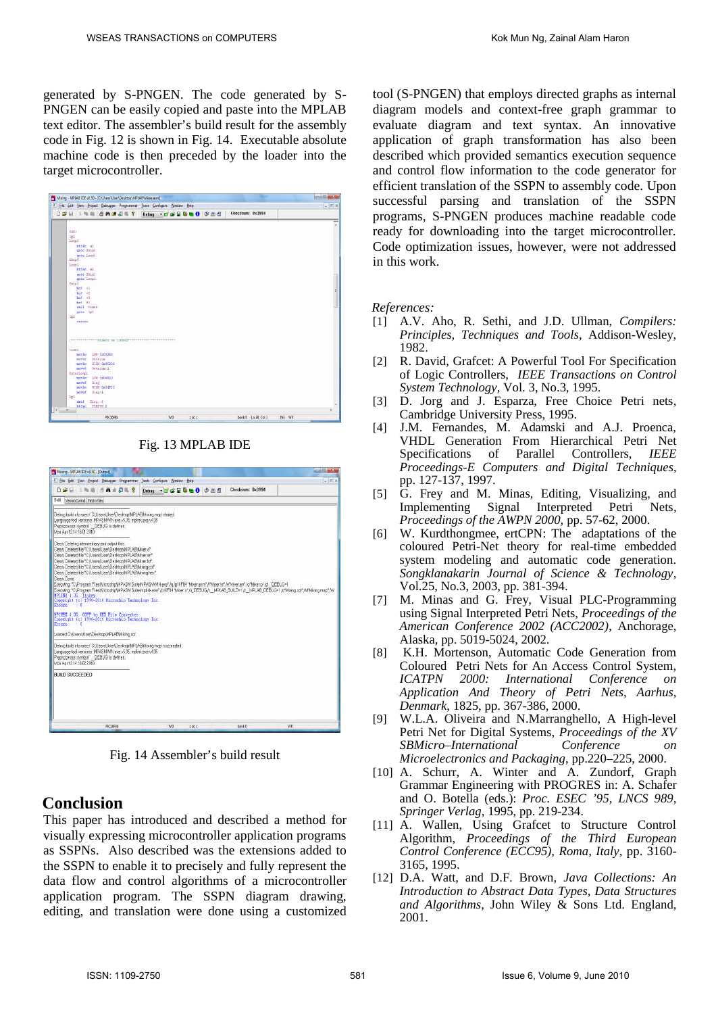generated by S-PNGEN. The code generated by S-PNGEN can be easily copied and paste into the MPLAB text editor. The assembler's build result for the assembly code in Fig. 12 is shown in Fig. 14. Executable absolute machine code is then preceded by the loader into the target microcontroller.

| Maing - MPLAB IDE v8.50 - [C/Users/User/Desktop/MPLAB/Mose.asm]        |                           |                                 | cold and |
|------------------------------------------------------------------------|---------------------------|---------------------------------|----------|
| F Ele Edit Vew Project Debugger Programmer Tools Configure Window Help |                           |                                 | $= 1014$ |
| DEN INS GAUDE?                                                         | Debug - de H & m O O m fi | Checksum: 0x3994                |          |
|                                                                        |                           |                                 | ٠        |
| Bill.                                                                  |                           |                                 |          |
| 1 <sub>0</sub> 1                                                       |                           |                                 |          |
| ToopE                                                                  |                           |                                 |          |
| Difac all                                                              |                           |                                 |          |
| gota Skipl                                                             |                           |                                 |          |
| goto loop!                                                             |                           |                                 |          |
| Raspit                                                                 |                           |                                 |          |
| tooy1<br>htfan al                                                      |                           |                                 |          |
| goto Skipl                                                             |                           |                                 |          |
| gate Loopi                                                             |                           |                                 |          |
| Shipl                                                                  |                           |                                 |          |
| her wil                                                                |                           |                                 |          |
| bet ut                                                                 |                           |                                 |          |
| bof al                                                                 |                           |                                 |          |
| bef itt<br>mil time                                                    |                           |                                 |          |
| gobo lol                                                               |                           |                                 |          |
| 162                                                                    |                           |                                 |          |
| return                                                                 |                           |                                 |          |
|                                                                        |                           |                                 |          |
|                                                                        |                           |                                 |          |
|                                                                        |                           |                                 |          |
| AUDIOSUS PROPERTY OF THESE PRODUCED ENDING:                            |                           |                                 |          |
| himst.                                                                 |                           |                                 |          |
| LOW 0400358<br>movie                                                   |                           |                                 |          |
| Outside<br>novef.                                                      |                           |                                 |          |
| RIGH 02000254<br>movin                                                 |                           |                                 |          |
| Outside12<br>moved                                                     |                           |                                 |          |
| OuterLoopi                                                             |                           |                                 |          |
| LOW DADAY2D<br>movin                                                   |                           |                                 |          |
| DLair<br>novef<br>HIGH 0x04320<br>movin                                |                           |                                 |          |
| Blaz+L<br>nover                                                        |                           |                                 |          |
| tel                                                                    |                           |                                 |          |
| Pay, f<br>decf.                                                        |                           |                                 |          |
| STATUR Z<br><b>Intifact</b>                                            |                           |                                 |          |
| $\frac{1}{2}$<br>$+1$                                                  |                           |                                 |          |
| <b>PIC1MEM</b>                                                         | Wo<br>rdcc                | bank 0   Ln 28, Col 1<br>INS WE |          |

Fig. 13 MPLAB IDE

| Mang - MPLAB DE v8.50 - [Cutput]             |                               |                                                                                                                                                                                                                                                                                                                                                                                                                                                                                                                         |  |  |    |                    |  |                                                                                                                                         | <b>CHILL MAX</b>                                                                                                                                |
|----------------------------------------------|-------------------------------|-------------------------------------------------------------------------------------------------------------------------------------------------------------------------------------------------------------------------------------------------------------------------------------------------------------------------------------------------------------------------------------------------------------------------------------------------------------------------------------------------------------------------|--|--|----|--------------------|--|-----------------------------------------------------------------------------------------------------------------------------------------|-------------------------------------------------------------------------------------------------------------------------------------------------|
|                                              |                               | File Edit View Project Debugger Programmer Tools Configure Window Help                                                                                                                                                                                                                                                                                                                                                                                                                                                  |  |  |    |                    |  |                                                                                                                                         | $\frac{1}{2}$ also                                                                                                                              |
| Dæ⊞                                          |                               | 上版图 作曲曲周围 ?                                                                                                                                                                                                                                                                                                                                                                                                                                                                                                             |  |  |    | Debug - TEULOO OME |  | Checksum: 0x3994                                                                                                                        |                                                                                                                                                 |
| Build                                        | Version Control Find in Files |                                                                                                                                                                                                                                                                                                                                                                                                                                                                                                                         |  |  |    |                    |  |                                                                                                                                         |                                                                                                                                                 |
| Mon Apr 12 14 18 01 2010                     |                               | Debug build at project 'COUsers'(User/DesktopWF1ABMsong.mcp' started.<br>Lenguage tool versions: MPASMWIN exe v5.35, mplink exe v4.35<br>Preprocessor symbol" DEBUG' is defined.                                                                                                                                                                                                                                                                                                                                        |  |  |    |                    |  |                                                                                                                                         |                                                                                                                                                 |
| Clear: Done<br>MPLINK 4.35, Linker<br>Errors | S O                           | Clear: Deleting intermediary and output files.<br>Clean: Deleted file *C://Jsen/JJsen/Desktop/MPLABMixer.of<br>Clean: Deleted file "C.W.Isers'/JsenDesktop/MPLABMiver.em"<br>Clean: Deleted file "C.W.isers!UsenDesktop!MPLABMixer.lst"<br>Clean: Deleted file *C/Usen/UsenDesktop/MPLABMxing.coff<br>Clean: Deteted file "C.V. Isens! JsenDesktop!MPLABMving.hex"<br>Copyright (c) 1998-2010 Hierochip Technology Inc.<br>MPINEX 4.35, COFF to HEX File Converter<br>Copyright (c) 1998-2010 Hicrochip Technology Inc. |  |  |    |                    |  | Executing "C:/Program Files/Microchip/MPASM Suite/MPASMWN.exe" /q./p16F84"Wiver.asm" /Milwer.bff /ef Mixer.en" /o"Mixer.o" /d . DEBUG-1 | Executing YC/Program FilesWicrochpWPASM Substruptink.exel /p18F84 "Mixer.of /u DEBUG /z MFLAB BULD=1 /z MFLAB DEBUG=1/o"Mong.cof"/M"Mong.map"/W |
| Errore                                       |                               | Loaded CNJsersWser/DesktopWPLABWoing.cof.                                                                                                                                                                                                                                                                                                                                                                                                                                                                               |  |  |    |                    |  |                                                                                                                                         |                                                                                                                                                 |
| Mon Apr 121416022010                         |                               | Debug build at project 'C\Users\User\Desktop\NPLABMsing.mcp' succeeded.<br>Lenguage tool versions: MPASMWIN exe u5.35, mplink exe u4.35<br>Preprocessor symbol DEBUG' is defined.                                                                                                                                                                                                                                                                                                                                       |  |  |    |                    |  |                                                                                                                                         |                                                                                                                                                 |
| <b>BUILD SUCCEEDED</b>                       |                               |                                                                                                                                                                                                                                                                                                                                                                                                                                                                                                                         |  |  |    |                    |  |                                                                                                                                         |                                                                                                                                                 |
|                                              |                               | <b>PX16F64</b>                                                                                                                                                                                                                                                                                                                                                                                                                                                                                                          |  |  | Wo | rdcc               |  | bank 0                                                                                                                                  | WR:                                                                                                                                             |

Fig. 14 Assembler's build result

# **Conclusion**

This paper has introduced and described a method for visually expressing microcontroller application programs as SSPNs. Also described was the extensions added to the SSPN to enable it to precisely and fully represent the data flow and control algorithms of a microcontroller application program. The SSPN diagram drawing, editing, and translation were done using a customized tool (S-PNGEN) that employs directed graphs as internal diagram models and context-free graph grammar to evaluate diagram and text syntax. An innovative application of graph transformation has also been described which provided semantics execution sequence and control flow information to the code generator for efficient translation of the SSPN to assembly code. Upon successful parsing and translation of the SSPN programs, S-PNGEN produces machine readable code ready for downloading into the target microcontroller. Code optimization issues, however, were not addressed in this work.

### *References:*

- [1] A.V. Aho, R. Sethi, and J.D. Ullman, *Compilers: Principles, Techniques and Tools*, Addison-Wesley, 1982.
- [2] R. David, Grafcet: A Powerful Tool For Specification of Logic Controllers, *IEEE Transactions on Control System Technology*, Vol. 3, No.3, 1995.
- [3] D. Jorg and J. Esparza, Free Choice Petri nets, Cambridge University Press, 1995.
- [4] J.M. Fernandes, M. Adamski and A.J. Proenca, VHDL Generation From Hierarchical Petri Net Specifications of Parallel Controllers, *IEEE Proceedings-E Computers and Digital Techniques*, pp. 127-137, 1997.
- [5] G. Frey and M. Minas, Editing, Visualizing, and Implementing Signal Interpreted Petri Nets, *Proceedings of the AWPN 2000,* pp. 57-62, 2000.
- [6] W. Kurdthongmee, ertCPN: The adaptations of the coloured Petri-Net theory for real-time embedded system modeling and automatic code generation. *Songklanakarin Journal of Science & Technology*, Vol.25, No.3, 2003, pp. 381-394.
- [7] M. Minas and G. Frey, Visual PLC-Programming using Signal Interpreted Petri Nets, *Proceedings of the American Conference 2002 (ACC2002)*, Anchorage, Alaska, pp. 5019-5024, 2002.
- [8] K.H. Mortenson, Automatic Code Generation from Coloured Petri Nets for An Access Control System, *ICATPN 2000: International Conference on Application And Theory of Petri Nets, Aarhus, Denmark*, 1825, pp. 367-386, 2000.
- [9] W.L.A. Oliveira and N.Marranghello, A High-level Petri Net for Digital Systems, *Proceedings of the XV SBMicro–International Conference on Microelectronics and Packaging*, pp.220–225, 2000.
- [10] A. Schurr, A. Winter and A. Zundorf, Graph Grammar Engineering with PROGRES in: A. Schafer and O. Botella (eds.): *Proc. ESEC '95, LNCS 989, Springer Verlag*, 1995, pp. 219-234.
- [11] A. Wallen, Using Grafcet to Structure Control Algorithm, *Proceedings of the Third European Control Conference (ECC95), Roma, Italy*, pp. 3160- 3165, 1995.
- [12] D.A. Watt, and D.F. Brown, *Java Collections: An Introduction to Abstract Data Types, Data Structures and Algorithms*, John Wiley & Sons Ltd. England, 2001.